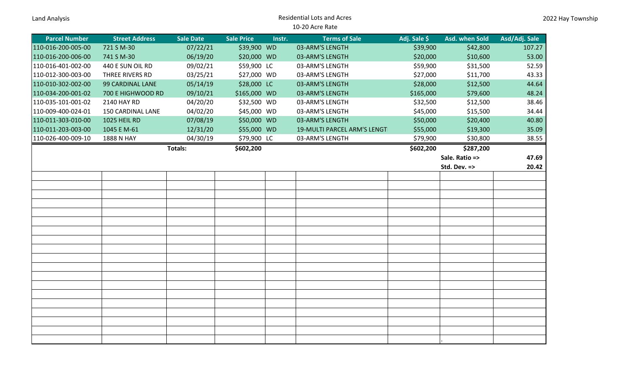| <b>Land Analysis</b> |  |
|----------------------|--|
|                      |  |

## Residential Lots and Acres 10-20 Acre Rate

| <b>Parcel Number</b> | <b>Street Address</b> | Sale Date | <b>Sale Price</b> | Instr. | <b>Terms of Sale</b>        | Adj. Sale \$ | Asd. when Sold | Asd/Adj. Sale |
|----------------------|-----------------------|-----------|-------------------|--------|-----------------------------|--------------|----------------|---------------|
| 110-016-200-005-00   | 721 S M-30            | 07/22/21  | \$39,900 WD       |        | 03-ARM'S LENGTH             | \$39,900     | \$42,800       | 107.27        |
| 110-016-200-006-00   | 741 S M-30            | 06/19/20  | \$20,000 WD       |        | 03-ARM'S LENGTH             | \$20,000     | \$10,600       | 53.00         |
| 110-016-401-002-00   | 440 E SUN OIL RD      | 09/02/21  | \$59,900 LC       |        | 03-ARM'S LENGTH             | \$59,900     | \$31,500       | 52.59         |
| 110-012-300-003-00   | THREE RIVERS RD       | 03/25/21  | \$27,000 WD       |        | 03-ARM'S LENGTH             | \$27,000     | \$11,700       | 43.33         |
| 110-010-302-002-00   | 99 CARDINAL LANE      | 05/14/19  | \$28,000 LC       |        | 03-ARM'S LENGTH             | \$28,000     | \$12,500       | 44.64         |
| 110-034-200-001-02   | 700 E HIGHWOOD RD     | 09/10/21  | \$165,000 WD      |        | 03-ARM'S LENGTH             | \$165,000    | \$79,600       | 48.24         |
| 110-035-101-001-02   | 2140 HAY RD           | 04/20/20  | \$32,500 WD       |        | 03-ARM'S LENGTH             | \$32,500     | \$12,500       | 38.46         |
| 110-009-400-024-01   | 150 CARDINAL LANE     | 04/02/20  | \$45,000 WD       |        | 03-ARM'S LENGTH             | \$45,000     | \$15,500       | 34.44         |
| 110-011-303-010-00   | 1025 HEIL RD          | 07/08/19  | \$50,000 WD       |        | 03-ARM'S LENGTH             | \$50,000     | \$20,400       | 40.80         |
| 110-011-203-003-00   | 1045 E M-61           | 12/31/20  | \$55,000 WD       |        | 19-MULTI PARCEL ARM'S LENGT | \$55,000     | \$19,300       | 35.09         |
| 110-026-400-009-10   | 1888 N HAY            | 04/30/19  | \$79,900 LC       |        | 03-ARM'S LENGTH             | \$79,900     | \$30,800       | 38.55         |
|                      |                       | Totals:   | \$602,200         |        |                             | \$602,200    | \$287,200      |               |
|                      |                       |           |                   |        |                             |              | Sale. Ratio => | 47.69         |
|                      |                       |           |                   |        |                             |              | Std. Dev. =>   | 20.42         |
|                      |                       |           |                   |        |                             |              |                |               |
|                      |                       |           |                   |        |                             |              |                |               |
|                      |                       |           |                   |        |                             |              |                |               |
|                      |                       |           |                   |        |                             |              |                |               |
|                      |                       |           |                   |        |                             |              |                |               |
|                      |                       |           |                   |        |                             |              |                |               |
|                      |                       |           |                   |        |                             |              |                |               |
|                      |                       |           |                   |        |                             |              |                |               |
|                      |                       |           |                   |        |                             |              |                |               |
|                      |                       |           |                   |        |                             |              |                |               |
|                      |                       |           |                   |        |                             |              |                |               |
|                      |                       |           |                   |        |                             |              |                |               |
|                      |                       |           |                   |        |                             |              |                |               |
|                      |                       |           |                   |        |                             |              |                |               |
|                      |                       |           |                   |        |                             |              |                |               |
|                      |                       |           |                   |        |                             |              |                |               |
|                      |                       |           |                   |        |                             |              |                |               |
|                      |                       |           |                   |        |                             |              |                |               |
|                      |                       |           |                   |        |                             |              |                |               |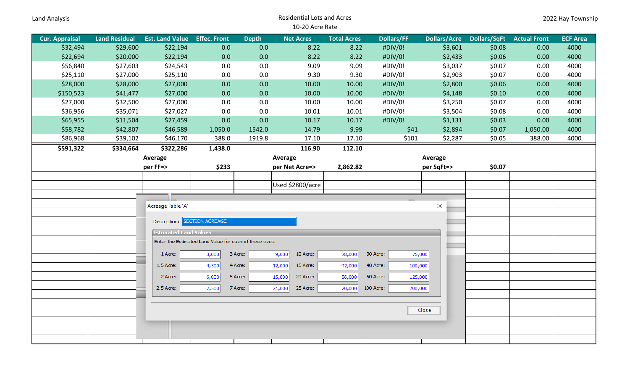| Land Analysis         |                                                         |                              |                     |              | <b>Residential Lots and Acres</b> |                    |                     |                     |                     |                     | 2022 Hay Township |
|-----------------------|---------------------------------------------------------|------------------------------|---------------------|--------------|-----------------------------------|--------------------|---------------------|---------------------|---------------------|---------------------|-------------------|
|                       |                                                         |                              |                     |              | 10-20 Acre Rate                   |                    |                     |                     |                     |                     |                   |
| <b>Cur. Appraisal</b> | <b>Land Residual</b>                                    | <b>Est. Land Value</b>       | <b>Effec. Front</b> | <b>Depth</b> | <b>Net Acres</b>                  | <b>Total Acres</b> | <b>Dollars/FF</b>   | <b>Dollars/Acre</b> | <b>Dollars/SqFt</b> | <b>Actual Front</b> | <b>ECF Area</b>   |
| \$32,494              | \$29,600                                                | \$22,194                     | 0.0                 | 0.0          | 8.22                              | 8.22               | #DIV/0!             | \$3,601             | \$0.08              | 0.00                | 4000              |
| \$22,694              | \$20,000                                                | \$22,194                     | 0.0                 | 0.0          | 8.22                              | 8.22               | #DIV/0!             | \$2,433             | \$0.06              | 0.00                | 4000              |
| \$56,840              | \$27,603                                                | \$24,543                     | 0.0                 | 0.0          | 9.09                              | 9.09               | #DIV/0!             | \$3,037             | \$0.07              | 0.00                | 4000              |
| \$25,110              | \$27,000                                                | \$25,110                     | 0.0                 | 0.0          | 9.30                              | 9.30               | #DIV/0!             | \$2,903             | \$0.07              | 0.00                | 4000              |
| \$28,000              | \$28,000                                                | \$27,000                     | 0.0                 | 0.0          | 10.00                             | 10.00              | #DIV/0!             | \$2,800             | \$0.06              | 0.00                | 4000              |
| \$150,523             | \$41,477                                                | \$27,000                     | 0.0                 | 0.0          | 10.00                             | 10.00              | #DIV/0!             | \$4,148             | \$0.10              | 0.00                | 4000              |
| \$27,000              | \$32,500                                                | \$27,000                     | 0.0                 | 0.0          | 10.00                             | 10.00              | #DIV/0!             | \$3,250             | \$0.07              | 0.00                | 4000              |
| \$36,956              | \$35,071                                                | \$27,027                     | 0.0                 | 0.0          | 10.01                             | 10.01              | #DIV/0!             | \$3,504             | \$0.08              | 0.00                | 4000              |
| \$65,955              | \$11,504                                                | \$27,459                     | 0.0                 | 0.0          | 10.17                             | 10.17              | #DIV/0!             | \$1,131             | \$0.03              | 0.00                | 4000              |
| \$58,782              | \$42,807                                                | \$46,589                     | 1,050.0             | 1542.0       | 14.79                             | 9.99               | \$41                | \$2,894             | \$0.07              | 1,050.00            | 4000              |
| \$86,968              | \$39,102                                                | \$46,170                     | 388.0               | 1919.8       | 17.10                             | 17.10              | \$101               | \$2,287             | \$0.05              | 388.00              | 4000              |
| \$591,322             | \$334,664                                               | \$322,286                    | 1,438.0             |              | 116.90                            | 112.10             |                     |                     |                     |                     |                   |
|                       |                                                         | Average                      |                     |              | Average                           |                    |                     | Average             |                     |                     |                   |
|                       |                                                         | per FF=>                     | \$233               |              | per Net Acre=>                    | 2,862.82           |                     | per SqFt=>          | \$0.07              |                     |                   |
|                       |                                                         |                              |                     |              |                                   |                    |                     |                     |                     |                     |                   |
|                       |                                                         |                              |                     |              | Used \$2800/acre                  |                    |                     |                     |                     |                     |                   |
|                       |                                                         |                              |                     |              |                                   |                    |                     |                     |                     |                     |                   |
|                       |                                                         | Acreage Table 'A'            |                     |              |                                   |                    |                     | $\times$            |                     |                     |                   |
|                       |                                                         |                              |                     |              |                                   |                    |                     |                     |                     |                     |                   |
|                       |                                                         | Description: SECTION ACREAGE |                     |              |                                   |                    |                     |                     |                     |                     |                   |
|                       |                                                         | <b>Estimated Land Values</b> |                     |              |                                   |                    |                     |                     |                     |                     |                   |
|                       | Enter the Estimated Land Value for each of these sizes. |                              |                     |              |                                   |                    |                     |                     |                     |                     |                   |
|                       |                                                         | 1 Acre:                      | 3,000               | 3 Acre:      | 10 Acre:<br>9,000                 | 28,000             | 30 Acre:            | 75,000              |                     |                     |                   |
|                       |                                                         | 1.5 Acre:                    | 4,500               | 4 Acre:      | 15 Acre:<br>12,000                | 42,000             | 40 Acre:<br>100,000 |                     |                     |                     |                   |
|                       |                                                         | 2 Acre:                      | 6,000               | 5 Acre:      | 15,000<br>20 Acre:                | 56,000             | 50 Acre:<br>125,000 |                     |                     |                     |                   |
|                       |                                                         | 2.5 Acre:                    | 7,500               | 7 Acre:      | 21,000<br>25 Acre:                | 70,000             | 100 Acre:           |                     |                     |                     |                   |
|                       |                                                         |                              |                     |              |                                   |                    | 200,000             |                     |                     |                     |                   |
|                       |                                                         |                              |                     |              |                                   |                    |                     |                     |                     |                     |                   |
|                       | Close                                                   |                              |                     |              |                                   |                    |                     |                     |                     |                     |                   |
|                       |                                                         |                              |                     |              |                                   |                    |                     |                     |                     |                     |                   |
|                       |                                                         |                              |                     |              |                                   |                    |                     |                     |                     |                     |                   |
|                       |                                                         |                              |                     |              |                                   |                    |                     |                     |                     |                     |                   |